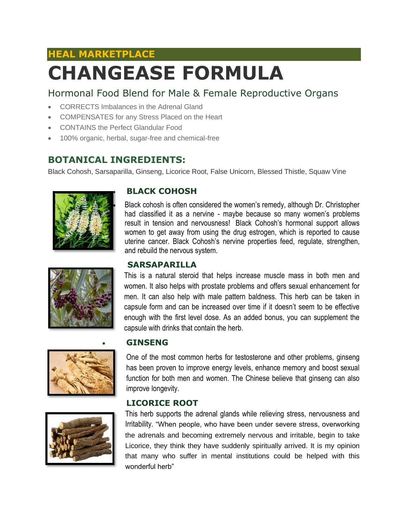# **HEAL MARKETPLACE CHANGEASE FORMULA**

### Hormonal Food Blend for Male & Female Reproductive Organs

- CORRECTS Imbalances in the Adrenal Gland
- COMPENSATES for any Stress Placed on the Heart
- CONTAINS the Perfect Glandular Food
- 100% organic, herbal, sugar-free and chemical-free

#### **BOTANICAL INGREDIENTS:**

Black Cohosh, Sarsaparilla, Ginseng, Licorice Root, False Unicorn, Blessed Thistle, Squaw Vine



• **BLACK COHOSH**

• Black cohosh is often considered the women's remedy, although Dr. Christopher had classified it as a nervine - maybe because so many women's problems result in tension and nervousness! Black Cohosh's hormonal support allows women to get away from using the drug estrogen, which is reported to cause uterine cancer. Black Cohosh's nervine properties feed, regulate, strengthen, and rebuild the nervous system.

#### **SARSAPARILLA**

This is a natural steroid that helps increase muscle mass in both men and women. It also helps with prostate problems and offers sexual enhancement for men. It can also help with male pattern baldness. This herb can be taken in capsule form and can be increased over time if it doesn't seem to be effective enough with the first level dose. As an added bonus, you can supplement the capsule with drinks that contain the herb.



#### • **GINSENG**

One of the most common herbs for testosterone and other problems, ginseng has been proven to improve energy levels, enhance memory and boost sexual function for both men and women. The Chinese believe that ginseng can also improve longevity.

#### **LICORICE ROOT**



This herb supports the adrenal glands while relieving stress, nervousness and Irritability. "When people, who have been under severe stress, overworking the adrenals and becoming extremely nervous and irritable, begin to take Licorice, they think they have suddenly spiritually arrived. It is my opinion that many who suffer in mental institutions could be helped with this wonderful herb"